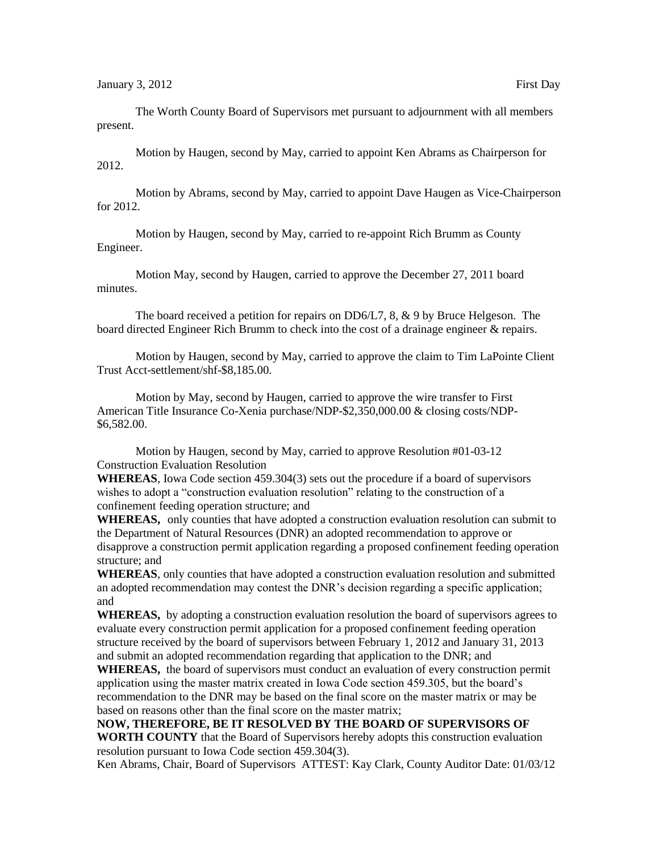The Worth County Board of Supervisors met pursuant to adjournment with all members present.

Motion by Haugen, second by May, carried to appoint Ken Abrams as Chairperson for 2012.

Motion by Abrams, second by May, carried to appoint Dave Haugen as Vice-Chairperson for 2012.

Motion by Haugen, second by May, carried to re-appoint Rich Brumm as County Engineer.

Motion May, second by Haugen, carried to approve the December 27, 2011 board minutes.

The board received a petition for repairs on DD6/L7, 8, & 9 by Bruce Helgeson. The board directed Engineer Rich Brumm to check into the cost of a drainage engineer & repairs.

Motion by Haugen, second by May, carried to approve the claim to Tim LaPointe Client Trust Acct-settlement/shf-\$8,185.00.

Motion by May, second by Haugen, carried to approve the wire transfer to First American Title Insurance Co-Xenia purchase/NDP-\$2,350,000.00 & closing costs/NDP- \$6,582.00.

Motion by Haugen, second by May, carried to approve Resolution #01-03-12 Construction Evaluation Resolution

**WHEREAS**, Iowa Code section 459.304(3) sets out the procedure if a board of supervisors wishes to adopt a "construction evaluation resolution" relating to the construction of a confinement feeding operation structure; and

**WHEREAS,** only counties that have adopted a construction evaluation resolution can submit to the Department of Natural Resources (DNR) an adopted recommendation to approve or disapprove a construction permit application regarding a proposed confinement feeding operation structure; and

**WHEREAS**, only counties that have adopted a construction evaluation resolution and submitted an adopted recommendation may contest the DNR's decision regarding a specific application; and

**WHEREAS,** by adopting a construction evaluation resolution the board of supervisors agrees to evaluate every construction permit application for a proposed confinement feeding operation structure received by the board of supervisors between February 1, 2012 and January 31, 2013 and submit an adopted recommendation regarding that application to the DNR; and

**WHEREAS,** the board of supervisors must conduct an evaluation of every construction permit application using the master matrix created in Iowa Code section 459.305, but the board's recommendation to the DNR may be based on the final score on the master matrix or may be based on reasons other than the final score on the master matrix;

## **NOW, THEREFORE, BE IT RESOLVED BY THE BOARD OF SUPERVISORS OF**

**WORTH COUNTY** that the Board of Supervisors hereby adopts this construction evaluation resolution pursuant to Iowa Code section 459.304(3).

Ken Abrams, Chair, Board of Supervisors ATTEST: Kay Clark, County Auditor Date: 01/03/12